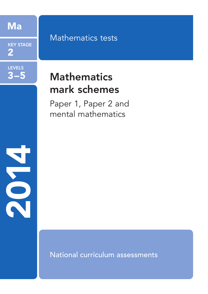Ma

KEY STAGE 2

LEVELS

3–5

2014

# Mathematics tests

# **Mathematics** mark schemes

Paper 1, Paper 2 and mental mathematics

National curriculum assessments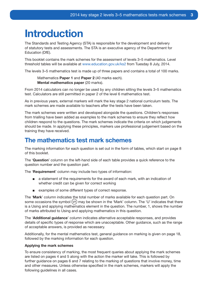# Introduction

The Standards and Testing Agency (STA) is responsible for the development and delivery of statutory tests and assessments. The STA is an executive agency of the Department for Education (DfE).

This booklet contains the mark schemes for the assessment of levels 3–5 mathematics. Level threshold tables will be available at www.education.gov.uk/ks2 from Tuesday 8 July, 2014.

The levels 3–5 mathematics test is made up of three papers and contains a total of 100 marks.

Mathematics Paper 1 and Paper 2 (40 marks each). Mental mathematics paper (20 marks).

From 2014 calculators can no longer be used by any children sitting the levels 3–5 mathematics test. Calculators are still permitted in paper 2 of the level 6 mathematics test.

As in previous years, external markers will mark the key stage 2 national curriculum tests. The mark schemes are made available to teachers after the tests have been taken.

The mark schemes were written and developed alongside the questions. Children's responses from trialling have been added as examples to the mark schemes to ensure they reflect how children respond to the questions. The mark schemes indicate the criteria on which judgements should be made. In applying these principles, markers use professional judgement based on the training they have received.

### The mathematics test mark schemes

The marking information for each question is set out in the form of tables, which start on page 8 of this booklet.

The 'Question' column on the left-hand side of each table provides a quick reference to the question number and the question part.

The 'Requirement' column may include two types of information:

- a statement of the requirements for the award of each mark, with an indication of whether credit can be given for correct working
- examples of some different types of correct response.

The 'Mark' column indicates the total number of marks available for each question part. On some occasions the symbol  $(v_1)$  may be shown in the 'Mark' column. The 'U' indicates that there is a Using and applying mathematics element in the question. The number, 1, shows the number of marks attributed to Using and applying mathematics in this question.

The 'Additional guidance' column indicates alternative acceptable responses, and provides details of specific types of response which are unacceptable. Other guidance, such as the range of acceptable answers, is provided as necessary.

Additionally, for the mental mathematics test, general guidance on marking is given on page 18, followed by the marking information for each question.

### Applying the mark schemes

To ensure consistency of marking, the most frequent queries about applying the mark schemes are listed on pages 4 and 5 along with the action the marker will take. This is followed by further guidance on pages 6 and 7 relating to the marking of questions that involve money, time and other measures. Unless otherwise specified in the mark schemes, markers will apply the following guidelines in all cases.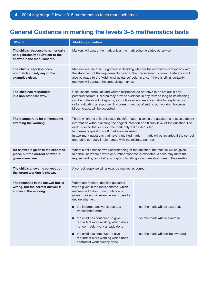# General Guidance in marking the levels 3–5 mathematics tests

| What if                                                                                                 | <b>Marking procedure</b>                                                                                                                                                                                                                                                                                                                                                                                                                                    |                                                                      |  |
|---------------------------------------------------------------------------------------------------------|-------------------------------------------------------------------------------------------------------------------------------------------------------------------------------------------------------------------------------------------------------------------------------------------------------------------------------------------------------------------------------------------------------------------------------------------------------------|----------------------------------------------------------------------|--|
| The child's response is numerically<br>or algebraically equivalent to the<br>answer in the mark scheme. | Markers will award the mark unless the mark scheme states otherwise.                                                                                                                                                                                                                                                                                                                                                                                        |                                                                      |  |
| The child's response does<br>not match closely any of the<br>examples given.                            | Markers will use their judgement in deciding whether the response corresponds with<br>the statement of the requirements given in the 'Requirement' column. Reference will<br>also be made to the 'Additional guidance' column and, if there is still uncertainty,<br>markers will contact the supervising marker.                                                                                                                                           |                                                                      |  |
| The child has responded<br>in a non-standard way.                                                       | Calculations, formulae and written responses do not have to be set out in any<br>particular format. Children may provide evidence in any form as long as its meaning<br>can be understood. Diagrams, symbols or words are acceptable for explanations<br>or for indicating a response. Any correct method of setting out working, however<br>idiosyncratic, will be accepted.                                                                               |                                                                      |  |
| There appears to be a misreading<br>affecting the working.                                              | This is when the child misreads the information given in the question and uses different<br>information without altering the original intention or difficulty level of the question. For<br>each misread that occurs, one mark only will be deducted.<br>In one-mark questions - 0 marks are awarded.<br>In two-mark questions that have a method mark $-1$ mark will be awarded if the correct<br>method is correctly implemented with the misread number. |                                                                      |  |
| No answer is given in the expected<br>place, but the correct answer is<br>given elsewhere.              | Where a child has shown understanding of the question, the mark(s) will be given.<br>In particular, where a word or number response is expected, a child may meet the<br>requirement by annotating a graph or labelling a diagram elsewhere in the question.                                                                                                                                                                                                |                                                                      |  |
| The child's answer is correct but<br>the wrong working is shown.                                        | A correct response will always be marked as correct.                                                                                                                                                                                                                                                                                                                                                                                                        |                                                                      |  |
| The response in the answer box is<br>wrong, but the correct answer is<br>shown in the working.          | Where appropriate, detailed guidance<br>will be given in the mark scheme, which<br>markers will follow. If no guidance is<br>given, markers will examine each case to<br>decide whether:<br>the incorrect answer is due to a<br>п<br>transcription error<br>the child has continued to give<br>п<br>redundant extra working which does<br>not contradict work already done                                                                                  | If so, the mark will be awarded.<br>If so, the mark will be awarded. |  |
|                                                                                                         | the child has continued to give<br>If so, the mark will not be awarded.<br>■<br>redundant extra working which does<br>contradict work already done.                                                                                                                                                                                                                                                                                                         |                                                                      |  |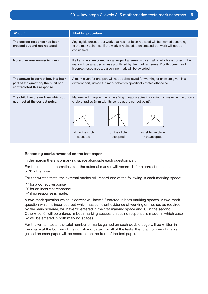| What if                                                                                                     | <b>Marking procedure</b>                                                                                                                                                                                                                                      |  |  |  |
|-------------------------------------------------------------------------------------------------------------|---------------------------------------------------------------------------------------------------------------------------------------------------------------------------------------------------------------------------------------------------------------|--|--|--|
| The correct response has been<br>crossed out and not replaced.                                              | Any legible crossed-out work that has not been replaced will be marked according<br>to the mark schemes. If the work is replaced, then crossed-out work will not be<br>considered.                                                                            |  |  |  |
| More than one answer is given.                                                                              | If all answers are correct (or a range of answers is given, all of which are correct), the<br>mark will be awarded unless prohibited by the mark schemes. If both correct and<br>incorrect responses are given, no mark will be awarded.                      |  |  |  |
| The answer is correct but, in a later<br>part of the question, the pupil has<br>contradicted this response. | A mark given for one part will not be disallowed for working or answers given in a<br>different part, unless the mark schemes specifically states otherwise.                                                                                                  |  |  |  |
| The child has drawn lines which do<br>not meet at the correct point.                                        | Markers will interpret the phrase 'slight inaccuracies in drawing' to mean 'within or on a<br>circle of radius 2mm with its centre at the correct point'.<br>within the circle<br>on the circle<br>outside the circle<br>accepted<br>accepted<br>not accepted |  |  |  |

### Recording marks awarded on the test paper

In the margin there is a marking space alongside each question part.

For the mental mathematics test, the external marker will record '1' for a correct response or '0' otherwise.

For the written tests, the external marker will record one of the following in each marking space:

- '1' for a correct response
- '0' for an incorrect response
- '−' if no response is made.

A two-mark question which is correct will have '1' entered in both marking spaces. A two-mark question which is incorrect, but which has sufficient evidence of working or method as required by the mark scheme, will have '1' entered in the first marking space and '0' in the second. Otherwise '0' will be entered in both marking spaces, unless no response is made, in which case '−' will be entered in both marking spaces.

For the written tests, the total number of marks gained on each double page will be written in the space at the bottom of the right-hand page. For all of the tests, the total number of marks gained on each paper will be recorded on the front of the test paper.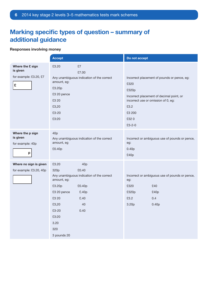# Marking specific types of question – summary of additional guidance

### Responses involving money

|                                                             | <b>Accept</b>                                                                                                                                                                                                                             | Do not accept                                                                                                                                                                             |
|-------------------------------------------------------------|-------------------------------------------------------------------------------------------------------------------------------------------------------------------------------------------------------------------------------------------|-------------------------------------------------------------------------------------------------------------------------------------------------------------------------------------------|
| Where the £ sign<br>is given<br>for example: £3.20, £7<br>£ | £3.20<br>£7<br>£7.00<br>Any unambiguous indication of the correct<br>amount, eg:<br>£3.20p<br>£3 20 pence<br>£3 20<br>£3,20<br>£3-20<br>£3:20                                                                                             | Incorrect placement of pounds or pence, eg:<br>£320<br>£320p<br>Incorrect placement of decimal point, or<br>incorrect use or omission of 0, eg:<br>£3.2<br>£3 200<br>£320<br>$£3 - 2 - 0$ |
| Where the p sign<br>is given<br>for example: 40p<br>p       | 40 <sub>p</sub><br>Any unambiguous indication of the correct<br>amount, eg<br>£0.40p                                                                                                                                                      | Incorrect or ambiguous use of pounds or pence,<br>eg:<br>0.40 <sub>p</sub><br>£40p                                                                                                        |
| Where no sign is given<br>for example: £3.20, 40p           | £3.20<br>40 <sub>p</sub><br>320p<br>£0.40<br>Any unambiguous indication of the correct<br>amount, eg:<br>£3.20p<br>£0.40p<br>£3 20 pence<br>£.40p<br>£3 20<br>£.40<br>£3,20<br>40<br>£3-20<br>0.40<br>£3:20<br>3.20<br>320<br>3 pounds 20 | Incorrect or ambiguous use of pounds or pence,<br>eg:<br>£320<br>£40<br>£320p<br>£40p<br>£3.2<br>0.4<br>3.20 <sub>p</sub><br>0.40 <sub>p</sub>                                            |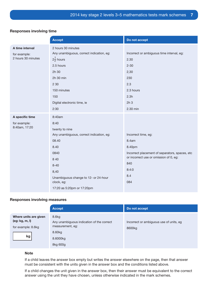### Responses involving time

|                    | <b>Accept</b>                            | Do not accept                                  |
|--------------------|------------------------------------------|------------------------------------------------|
| A time interval    | 2 hours 30 minutes                       |                                                |
| for example:       | Any unambiguous, correct indication, eg: | Incorrect or ambiguous time interval, eg:      |
| 2 hours 30 minutes | $2\frac{1}{2}$ hours                     | 2.30                                           |
|                    | 2.5 hours                                | $2 - 30$                                       |
|                    | 2h 30                                    | 2,30                                           |
|                    | 2h 30 min                                | 230                                            |
|                    | 2 3 0                                    | 2.3                                            |
|                    | 150 minutes                              | 2.3 hours                                      |
|                    | 150                                      | 2.3h                                           |
|                    | Digital electronic time, ie              | 2h <sub>3</sub>                                |
|                    | 2:30                                     | 2.30 min                                       |
| A specific time    | 8:40am                                   |                                                |
| for example:       | 8:40                                     |                                                |
| 8:40am, 17:20      | twenty to nine                           |                                                |
|                    | Any unambiguous, correct indication, eg: | Incorrect time, eg:                            |
|                    | 08.40                                    | 8.4am                                          |
|                    | 8.40                                     | 8.40pm                                         |
|                    | 0840                                     | Incorrect placement of separators, spaces, etc |
|                    | 8 4 0                                    | or incorrect use or omission of 0, eg:         |
|                    | $8 - 40$                                 | 840                                            |
|                    | 8,40                                     | 8:4:0                                          |
|                    | Unambiguous change to 12- or 24-hour     | 8.4                                            |
|                    | clock, eg:                               | 084                                            |
|                    | 17:20 as 5:20pm or 17:20pm               |                                                |

### Responses involving measures

|                                                               | Accept,                                                                            | Do not accept                                     |
|---------------------------------------------------------------|------------------------------------------------------------------------------------|---------------------------------------------------|
| Where units are given<br>(eg: kg, m, l)<br>for example: 8.6kg | 8.6 <sub>kg</sub><br>Any unambiguous indication of the correct<br>measurement, eg: | Incorrect or ambiguous use of units, eg<br>8600kg |
| kg                                                            | 8.60kg<br>8.6000kg<br>8kg 600g                                                     |                                                   |

### Note

If a child leaves the answer box empty but writes the answer elsewhere on the page, then that answer must be consistent with the units given in the answer box and the conditions listed above.

If a child changes the unit given in the answer box, then their answer must be equivalent to the correct answer using the unit they have chosen, unless otherwise indicated in the mark schemes.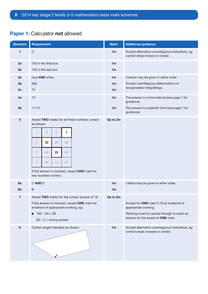| <b>Question</b> | <b>Requirement</b>                                                                     | <b>Mark</b>    | <b>Additional guidance</b>                                                          |
|-----------------|----------------------------------------------------------------------------------------|----------------|-------------------------------------------------------------------------------------|
| 1               | $\mathsf C$                                                                            | 1 <sub>m</sub> | Accept alternative unambiguous indications, eg<br>correct shape ticked or circled.  |
| 2a              | 570 in the first box.                                                                  | 1 <sub>m</sub> |                                                                                     |
| 2 <sub>b</sub>  | 730 in the last box                                                                    | 1 <sub>m</sub> |                                                                                     |
| 3a              | blue AND white                                                                         | 1 <sub>m</sub> | Colours may be given in either order.                                               |
| 3 <sub>b</sub>  | 600                                                                                    | 1 <sub>m</sub> | Accept unambiguous abbreviations or<br>recognisable misspellings.                   |
| 3 <sub>c</sub>  | 75                                                                                     | 1 <sub>m</sub> |                                                                                     |
| 4a              | 13                                                                                     | 1 <sub>m</sub> | The answer is a time interval (see page 7 for<br>guidance).                         |
| 4 <sub>b</sub>  | 11:10                                                                                  | 1 <sub>m</sub> | The answer is a specific time (see page 7 for<br>guidance).                         |
| 5               | Award TWO marks for all three numbers correct<br>as shown:                             | Up to 2m       |                                                                                     |
|                 | 8<br>5<br>$\overline{7}$<br>$\times$                                                   |                |                                                                                     |
|                 | 20<br>32<br>$\overline{4}$<br>28                                                       |                |                                                                                     |
|                 |                                                                                        |                |                                                                                     |
|                 | 5<br>25<br>35<br>40                                                                    |                |                                                                                     |
|                 | 21<br>3<br>24<br>15                                                                    |                |                                                                                     |
|                 | If the answer is incorrect, award ONE mark for<br>two numbers correct.                 |                |                                                                                     |
| 6a              | C AND E                                                                                | 1 <sub>m</sub> | Letters may be given in either order.                                               |
| 6 <sub>b</sub>  | $\sf B$                                                                                | 1 <sub>m</sub> |                                                                                     |
| 7               | Award TWO marks for the correct answer of 18                                           | Up to 2m       |                                                                                     |
|                 | If the answer is incorrect, award ONE mark for<br>evidence of appropriate working, eg: |                | Accept for ONE mark 0.18 as evidence of<br>appropriate working.                     |
|                 | $100 - 64 = 36$                                                                        |                | Working must be carried through to reach an                                         |
|                 | $36 \div 2$ = wrong answer                                                             |                | answer for the award of ONE mark.                                                   |
| 8               | Correct angle indicated as shown:                                                      | 1 <sub>m</sub> | Accept alternative unambiguous indications, eg<br>correct angle crossed or circled. |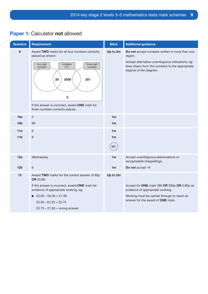| Question        | <b>Requirement</b>                                                                                                                                                                                                                                                    | <b>Mark</b>    | <b>Additional guidance</b>                                                                                                                                                                |
|-----------------|-----------------------------------------------------------------------------------------------------------------------------------------------------------------------------------------------------------------------------------------------------------------------|----------------|-------------------------------------------------------------------------------------------------------------------------------------------------------------------------------------------|
| 9               | Award TWO marks for all four numbers correctly<br>placed as shown:<br>multiples<br>three-digit<br>two-digit<br>of 5<br>numbers<br>numbers<br>2000<br>20<br>201<br>$\overline{2}$<br>If the answer is incorrect, award ONE mark for<br>three numbers correctly placed. | Up to 2m       | Do not accept numbers written in more than one<br>region.<br>Accept alternative unambiguous indications, eg<br>lines drawn from the numbers to the appropriate<br>regions of the diagram. |
| 10a             | $\overline{2}$                                                                                                                                                                                                                                                        | 1 <sub>m</sub> |                                                                                                                                                                                           |
| 10 <sub>b</sub> | 99                                                                                                                                                                                                                                                                    | 1 <sub>m</sub> |                                                                                                                                                                                           |
| 11a             | 6                                                                                                                                                                                                                                                                     | 1 <sub>m</sub> |                                                                                                                                                                                           |
| 11 <sub>b</sub> | 8                                                                                                                                                                                                                                                                     | 1 <sub>m</sub> |                                                                                                                                                                                           |
|                 |                                                                                                                                                                                                                                                                       | U1             |                                                                                                                                                                                           |
| 12a             | Wednesday                                                                                                                                                                                                                                                             | 1 <sub>m</sub> | Accept unambiguous abbreviations or<br>recognisable misspellings.                                                                                                                         |
| 12 <sub>b</sub> | 6                                                                                                                                                                                                                                                                     | 1 <sub>m</sub> | Do not accept -6                                                                                                                                                                          |
| 13              | Award TWO marks for the correct answer of 80p<br><b>OR £0.80</b>                                                                                                                                                                                                      | Up to 2m       |                                                                                                                                                                                           |
|                 | If the answer is incorrect, award ONE mark for<br>evidence of appropriate working, eg:                                                                                                                                                                                |                | Accept for ONE mark £80 OR £80p OR 0.80p as<br>evidence of appropriate working.                                                                                                           |
|                 | ■ £2.00 – £0.05 = £1.95                                                                                                                                                                                                                                               |                | Working must be carried through to reach an                                                                                                                                               |
|                 | £5.00 $-$ £2.25 = £2.75                                                                                                                                                                                                                                               |                | answer for the award of <b>ONE</b> mark.                                                                                                                                                  |
|                 | $£2.75 - £1.95 =$ wrong answer                                                                                                                                                                                                                                        |                |                                                                                                                                                                                           |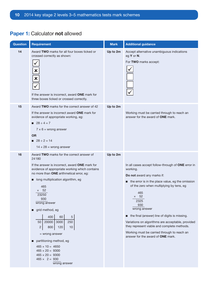| <b>Question</b> | <b>Requirement</b>                                                                                                                                                                                                                                                                                                                                                                                                                                                                                                                                                                                | <b>Mark</b> | <b>Additional guidance</b>                                                                                                                                                                                                                                                                                                                                                                                                                                                                 |
|-----------------|---------------------------------------------------------------------------------------------------------------------------------------------------------------------------------------------------------------------------------------------------------------------------------------------------------------------------------------------------------------------------------------------------------------------------------------------------------------------------------------------------------------------------------------------------------------------------------------------------|-------------|--------------------------------------------------------------------------------------------------------------------------------------------------------------------------------------------------------------------------------------------------------------------------------------------------------------------------------------------------------------------------------------------------------------------------------------------------------------------------------------------|
| 14              | Award TWO marks for all four boxes ticked or<br>crossed correctly as shown:<br>$\frac{x}{x}$<br>If the answer is incorrect, award ONE mark for<br>three boxes ticked or crossed correctly.                                                                                                                                                                                                                                                                                                                                                                                                        | Up to 2m    | Accept alternative unambiguous indications<br>eg Y or N.<br>For TWO marks accept:                                                                                                                                                                                                                                                                                                                                                                                                          |
| 15              | Award TWO marks for the correct answer of 42<br>If the answer is incorrect award <b>ONE</b> mark for<br>evidence of appropriate working, eg:<br><b>28</b> ÷ 4 = 7<br>$7 \times 6$ = wrong answer<br><b>OR</b><br>$28 \div 2 = 14$<br>$14 + 28$ = wrong answer                                                                                                                                                                                                                                                                                                                                     | Up to 2m    | Working must be carried through to reach an<br>answer for the award of <b>ONE</b> mark.                                                                                                                                                                                                                                                                                                                                                                                                    |
| 16              | Award TWO marks for the correct answer of<br>24180<br>If the answer is incorrect, award ONE mark for<br>evidence of appropriate working which contains<br>no more than ONE arithmetical error, eg:<br>long multiplication algorithm, eg<br>П<br>465<br>$\times$ 52<br>23250<br>930<br>wrong answer<br>grid method, eg<br>П<br>400<br>$\sqrt{5}$<br>60<br>3000<br>250<br>20000<br>50<br>$\mathbf{2}$<br>10<br>800<br>120<br>$=$ wrong answer<br>partitioning method, eg<br>П<br>$465 \times 10 = 4650$<br>$465 \times 20 = 9300$<br>$465 \times 20 = 9300$<br>$465 \times 2 = 930$<br>wrong answer | Up to 2m    | In all cases accept follow-through of ONE error in<br>working.<br>Do not award any marks if:<br>the error is in the place value, eg the omission<br>of the zero when multiplying by tens, eg<br>465<br>$\times$ 52<br>2325<br>930<br>wrong answer<br>the final (answer) line of digits is missing.<br>Variations on algorithms are acceptable, provided<br>they represent viable and complete methods.<br>Working must be carried through to reach an<br>answer for the award of ONE mark. |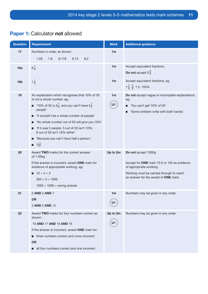| <b>Question</b> | <b>Requirement</b>                                                                                                                                                                                                                                                                                                                                                                                                                            | <b>Mark</b>          | <b>Additional guidance</b>                                                                                                                                                        |
|-----------------|-----------------------------------------------------------------------------------------------------------------------------------------------------------------------------------------------------------------------------------------------------------------------------------------------------------------------------------------------------------------------------------------------------------------------------------------------|----------------------|-----------------------------------------------------------------------------------------------------------------------------------------------------------------------------------|
| 17              | Numbers in order, as shown:                                                                                                                                                                                                                                                                                                                                                                                                                   | 1 <sub>m</sub>       |                                                                                                                                                                                   |
|                 | 1.28<br>1.8<br>8.118<br>8.12<br>8.2                                                                                                                                                                                                                                                                                                                                                                                                           |                      |                                                                                                                                                                                   |
| 18a             | $6\frac{1}{4}$                                                                                                                                                                                                                                                                                                                                                                                                                                | 1 <sub>m</sub>       | Accept equivalent fractions.<br>Do not accept $5\frac{5}{4}$                                                                                                                      |
| 18 <sub>b</sub> | $1\frac{1}{2}$                                                                                                                                                                                                                                                                                                                                                                                                                                | 1 <sub>m</sub>       | Accept equivalent fractions, eg<br>$1\frac{2}{4}, \frac{3}{2}, 1.5, 150\%$                                                                                                        |
| 19              | An explanation which recognises that 10% of 55<br>is not a whole number, eg:<br>■ '10% of 55 is $5\frac{1}{2}$ , and you can't have $5\frac{1}{2}$<br>people'<br>■ 'It wouldn't be a whole number of people'<br>'No whole number out of 55 will give you 10%'<br>■ 'If it was 5 people, 5 out of 55 isn't 10%.<br>6 out of 55 isn't 10% either'<br>■ 'Because you can't have half a person.'<br>$\blacksquare$ '5 <sup>1</sup> / <sub>2</sub> | 1 <sub>m</sub><br>U1 | Do not accept vague or incomplete explanations,<br>eg:<br>'You can't get 10% of 55'<br>■<br>'Some children write with both hands'.                                                |
| 20              | Award TWO marks for the correct answer<br>of 1.05kg<br>If the answer is incorrect, award ONE mark for<br>evidence of appropriate working, eg:<br>$12 \div 4 = 3$<br>$350 \times 3 = 1050$<br>$1050 \div 1000 =$ wrong answer                                                                                                                                                                                                                  | Up to 2m             | Do not accept 1050g<br>Accept for ONE mark 10.5 or 105 as evidence<br>of appropriate working.<br>Working must be carried through to reach<br>an answer for the award of ONE mark. |
| 21              | 2 AND 2 AND 7<br><b>OR</b><br>2 AND 2 AND -3                                                                                                                                                                                                                                                                                                                                                                                                  | 1 <sub>m</sub><br>U1 | Numbers may be given in any order.                                                                                                                                                |
| 22              | Award TWO marks for four numbers correct as<br>shown:<br>16 AND 17 AND 18 AND 19<br>If the answer is incorrect, award ONE mark for:<br>three numbers correct and none incorrect<br><b>OR</b><br>all four numbers correct and one incorrect                                                                                                                                                                                                    | Up to 2m<br>U1       | Numbers may be given in any order.                                                                                                                                                |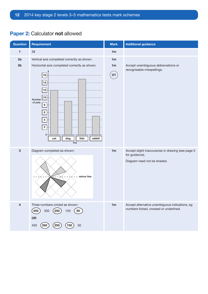| Question                | Requirement                                                                                                                                                                                                                 | <b>Mark</b>    | <b>Additional guidance</b>                                                                         |
|-------------------------|-----------------------------------------------------------------------------------------------------------------------------------------------------------------------------------------------------------------------------|----------------|----------------------------------------------------------------------------------------------------|
| $\blacksquare$          | 38                                                                                                                                                                                                                          | 1m             |                                                                                                    |
| 2a<br>2 <sub>b</sub>    | Vertical axis completed correctly as shown.<br>Horizontal axis completed correctly as shown.<br>16<br>14<br>12<br>10<br>Number<br>of pets<br>8<br>6 <sup>1</sup><br>4 <br>2<br>$0 -$<br>fish<br>rabbit<br>dog<br>cat<br>Pet | 1m<br>1m<br>U1 | Accept unambiguous abbreviations or<br>recognisable misspellings.                                  |
| $\mathbf 3$             | Diagram completed as shown:<br>mirror line<br>$\sim$<br>- V -                                                                                                                                                               | 1m             | Accept slight inaccuracies in drawing (see page 5<br>for guidance).<br>Diagram need not be shaded. |
| $\overline{\mathbf{4}}$ | Three numbers circled as shown:<br>(450)<br>$^{'}250$ $)$<br>350<br>150<br>50<br>OR<br>50<br>450<br>250<br>350<br>150                                                                                                       | 1 <sub>m</sub> | Accept alternative unambiguous indications, eg<br>numbers ticked, crossed or underlined.           |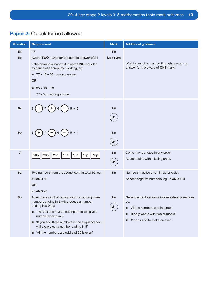| <b>Question</b>      | <b>Requirement</b>                                                                                                                                                                                                                                                                                                                         | <b>Mark</b>                | <b>Additional guidance</b>                                                                                                                                                  |
|----------------------|--------------------------------------------------------------------------------------------------------------------------------------------------------------------------------------------------------------------------------------------------------------------------------------------------------------------------------------------|----------------------------|-----------------------------------------------------------------------------------------------------------------------------------------------------------------------------|
| 5a<br>5 <sub>b</sub> | 43<br>Award TWO marks for the correct answer of 24<br>If the answer is incorrect, award ONE mark for<br>evidence of appropriate working, eg:<br>$\blacksquare$ 77 – 18 – 35 = wrong answer<br><b>OR</b><br>$35 + 18 = 53$<br>$77 - 53$ = wrong answer                                                                                      | 1 <sub>m</sub><br>Up to 2m | Working must be carried through to reach an<br>answer for the award of ONE mark.                                                                                            |
| 6a                   | $\left(-\right)7$ ( + ) 6 ( - ) 5 = 2                                                                                                                                                                                                                                                                                                      | 1 <sub>m</sub><br>U1       |                                                                                                                                                                             |
| 6 <sub>b</sub>       | $5 = 4$<br>$(+)$<br>$7(-)6(-)$<br>8(                                                                                                                                                                                                                                                                                                       | 1 <sub>m</sub><br>U1       |                                                                                                                                                                             |
| $\overline{7}$       | 20p<br>20p<br>10 <sub>p</sub><br>10 <sub>p</sub><br>10p<br>10 <sub>p</sub><br>20p                                                                                                                                                                                                                                                          | 1 <sub>m</sub><br>U1       | Coins may be listed in any order.<br>Accept coins with missing units.                                                                                                       |
| 8a                   | Two numbers from the sequence that total 96, eg:<br>43 AND 53<br><b>OR</b><br>23 AND 73                                                                                                                                                                                                                                                    | 1 <sub>m</sub>             | Numbers may be given in either order.<br>Accept negative numbers, eg -7 AND 103                                                                                             |
| 8b                   | An explanation that recognises that adding three<br>numbers ending in 3 will produce a number<br>ending in a 9 eg:<br>They all end in 3 so adding three will give a<br>number ending in 9'<br>'If you add three numbers in the sequence you<br>■<br>will always get a number ending in 9'<br>'All the numbers are odd and 96 is even'<br>■ | 1m<br>U1                   | Do not accept vague or incomplete explanations,<br>eg:<br>'All the numbers end in three'<br>П<br>'It only works with two numbers'<br>П<br>'3 odds add to make an even'<br>ш |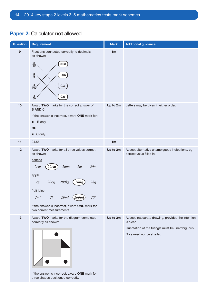| <b>Question</b>          | <b>Requirement</b>                                                                                                                                                                                                                                                                                                 | <b>Mark</b>    | <b>Additional guidance</b>                                                                                                                     |
|--------------------------|--------------------------------------------------------------------------------------------------------------------------------------------------------------------------------------------------------------------------------------------------------------------------------------------------------------------|----------------|------------------------------------------------------------------------------------------------------------------------------------------------|
| $\boldsymbol{9}$<br>$10$ | Fractions connected correctly to decimals<br>as shown:<br>$\frac{3}{10}$<br>0.03<br>$\frac{3}{5}$<br>0.06<br>$\frac{3}{100}$<br>0.3<br>$\frac{3}{50}$<br>0.6<br>Award TWO marks for the correct answer of<br><b>BANDC</b><br>If the answer is incorrect, award ONE mark for:<br>$\blacksquare$ B only<br><b>OR</b> | 1m<br>Up to 2m | Letters may be given in either order.                                                                                                          |
|                          | $\Box$ C only                                                                                                                                                                                                                                                                                                      |                |                                                                                                                                                |
| 11                       | 24.56                                                                                                                                                                                                                                                                                                              | 1m             |                                                                                                                                                |
| 12                       | Award TWO marks for all three values correct<br>as shown:<br>banana<br>20m<br>2mm<br>2cm<br>20cm<br>2m<br>apple<br>20kg<br>200kg<br>2kg<br>200g<br>2g<br>fruit juice<br>20ml<br>(200ml)<br>2ml<br>2l<br>201<br>If the answer is incorrect, award ONE mark for<br>two correct measurements.                         | Up to 2m       | Accept alternative unambiguous indications, eg<br>correct value filled in.                                                                     |
| 13                       | Award TWO marks for the diagram completed<br>correctly as shown:<br>If the answer is incorrect, award ONE mark for<br>three shapes positioned correctly.                                                                                                                                                           | Up to 2m       | Accept inaccurate drawing, provided the intention<br>is clear.<br>Orientation of the triangle must be unambiguous.<br>Dots need not be shaded. |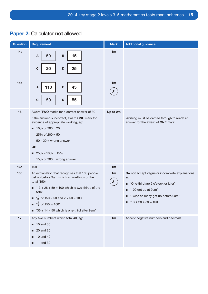| Question               | <b>Requirement</b>                                                                                                                                                                                                                                                                                                                                          | <b>Mark</b>                            | <b>Additional guidance</b>                                                                                                                                                                        |
|------------------------|-------------------------------------------------------------------------------------------------------------------------------------------------------------------------------------------------------------------------------------------------------------------------------------------------------------------------------------------------------------|----------------------------------------|---------------------------------------------------------------------------------------------------------------------------------------------------------------------------------------------------|
| 14a                    | 50<br>15<br>$\, {\bf B}$<br>A<br>$\mathbf C$<br>20<br>$\mathsf D$<br>25                                                                                                                                                                                                                                                                                     | 1 <sub>m</sub>                         |                                                                                                                                                                                                   |
| 14 <sub>b</sub>        | 110<br>45<br>$\, {\bf B}$<br>A<br>50<br>55<br>$\mathbf C$<br>D                                                                                                                                                                                                                                                                                              | 1 <sub>m</sub><br>U1                   |                                                                                                                                                                                                   |
| 15                     | Award TWO marks for a correct answer of 30<br>If the answer is incorrect, award ONE mark for<br>evidence of appropriate working, eg:<br>$10\% \text{ of } 200 = 20$<br>$25\%$ of $200 = 50$<br>$50 - 20 =$ wrong answer<br><b>OR</b><br>$\blacksquare$ 25% - 10% = 15%<br>15% of 200 = wrong answer                                                         | Up to 2m                               | Working must be carried through to reach an<br>answer for the award of ONE mark.                                                                                                                  |
| 16a<br>16 <sub>b</sub> | 109<br>An explanation that recognises that 100 people<br>get up before 9am which is two-thirds of the<br>total (150).<br>$13 + 28 + 59 = 100$ which is two-thirds of the<br>п<br>total'<br>$\frac{1}{3}$ of 150 = 50 and 2 × 50 = 100'<br>■<br>$\frac{2}{3}$ of 150 is 100'<br>$\blacksquare$<br>$\blacksquare$ '36 + 14 = 50 which is one-third after 9am' | 1 <sub>m</sub><br>1 <sub>m</sub><br>U1 | Do not accept vague or incomplete explanations,<br>eg:<br>'One-third are 9 o'clock or later'<br>П<br>'100 got up at 9am'<br>■<br>'Twice as many got up before 9am.'<br>$13 + 28 + 59 = 100'$<br>п |
| 17                     | Any two numbers which total 40, eg:<br>10 and 30<br>20 and 20<br>п<br>0 and 40<br>ш<br>1 and 39<br>■                                                                                                                                                                                                                                                        | 1 <sub>m</sub>                         | Accept negative numbers and decimals.                                                                                                                                                             |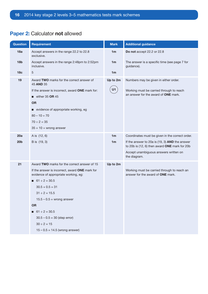| <b>Question</b> | <b>Requirement</b>                                                                                      | <b>Mark</b>    | <b>Additional guidance</b>                                                                        |
|-----------------|---------------------------------------------------------------------------------------------------------|----------------|---------------------------------------------------------------------------------------------------|
| 18a             | Accept answers in the range 22.2 to 22.8<br>exclusive.                                                  | 1 <sub>m</sub> | Do not accept 22.2 or 22.8                                                                        |
| 18 <sub>b</sub> | Accept answers in the range 2:48pm to 2:52pm<br>inclusive.                                              | 1 <sub>m</sub> | The answer is a specific time (see page 7 for<br>guidance).                                       |
| 18 <sub>c</sub> | 5                                                                                                       | 1 <sub>m</sub> |                                                                                                   |
| 19              | Award TWO marks for the correct answer of<br>45 AND 35                                                  | Up to 2m<br>U1 | Numbers may be given in either order.                                                             |
|                 | If the answer is incorrect, award ONE mark for:                                                         |                | Working must be carried through to reach<br>an answer for the award of ONE mark.                  |
|                 | $\blacksquare$ either 35 OR 45<br><b>OR</b>                                                             |                |                                                                                                   |
|                 | ■ evidence of appropriate working, eg<br>$80 - 10 = 70$<br>$70 \div 2 = 35$<br>$35 + 10 =$ wrong answer |                |                                                                                                   |
| 20a             | A is (12, 6)                                                                                            | 1 <sub>m</sub> | Coordinates must be given in the correct order.                                                   |
| 20 <sub>b</sub> | B is (19, 3)                                                                                            | 1 <sub>m</sub> | If the answer to 20a is $(19, 3)$ AND the answer<br>to 20b is (12, 6) then award ONE mark for 20b |
|                 |                                                                                                         |                | Accept unambiguous answers written on<br>the diagram.                                             |
| 21              | Award TWO marks for the correct answer of 15                                                            | Up to 2m       |                                                                                                   |
|                 | If the answer is incorrect, award ONE mark for<br>evidence of appropriate working, eg:                  |                | Working must be carried through to reach an<br>answer for the award of ONE mark.                  |
|                 | $\blacksquare$ 61 ÷ 2 = 30.5                                                                            |                |                                                                                                   |
|                 | $30.5 + 0.5 = 31$                                                                                       |                |                                                                                                   |
|                 | $31 \div 2 = 15.5$                                                                                      |                |                                                                                                   |
|                 | $15.5 - 0.5$ = wrong answer                                                                             |                |                                                                                                   |
|                 | <b>OR</b>                                                                                               |                |                                                                                                   |
|                 | $\blacksquare$ 61 ÷ 2 = 30.5<br>$30.5 - 0.5 = 30$ (step error)                                          |                |                                                                                                   |
|                 | $30 \div 2 = 15$                                                                                        |                |                                                                                                   |
|                 | $15 - 0.5 = 14.5$ (wrong answer)                                                                        |                |                                                                                                   |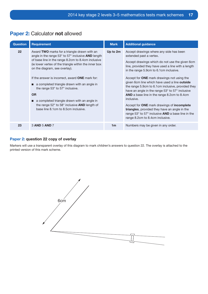| <b>Question</b> | <b>Requirement</b>                                                                                                                                                                                                                                                                                                                                                                                                                                                                                                                                                                                                               | <b>Mark</b>    | <b>Additional guidance</b>                                                                                                                                                                                                                                                                                                                                                                                                                                                                                                                                                                                                                                                                                         |
|-----------------|----------------------------------------------------------------------------------------------------------------------------------------------------------------------------------------------------------------------------------------------------------------------------------------------------------------------------------------------------------------------------------------------------------------------------------------------------------------------------------------------------------------------------------------------------------------------------------------------------------------------------------|----------------|--------------------------------------------------------------------------------------------------------------------------------------------------------------------------------------------------------------------------------------------------------------------------------------------------------------------------------------------------------------------------------------------------------------------------------------------------------------------------------------------------------------------------------------------------------------------------------------------------------------------------------------------------------------------------------------------------------------------|
| 22              | Award TWO marks for a triangle drawn with an<br>angle in the range $53^{\circ}$ to $57^{\circ}$ inclusive <b>AND</b> length<br>of base line in the range 8.2cm to 8.4cm inclusive<br>(ie lower vertex of the triangle within the inner box<br>on the diagram, see overlay).<br>If the answer is incorrect, award <b>ONE</b> mark for:<br>a completed triangle drawn with an angle in<br>the range $53^\circ$ to $57^\circ$ inclusive.<br><b>OR</b><br>$\blacksquare$ a completed triangle drawn with an angle in<br>the range $52^{\circ}$ to $58^{\circ}$ inclusive <b>AND</b> length of<br>base line 8.1cm to 8.5cm inclusive. | Up to 2m       | Accept drawings where any side has been<br>extended past a vertex.<br>Accept drawings which do not use the given 6cm<br>line, provided they have used a line with a length<br>in the range 5.9cm to 6.1cm inclusive.<br>Accept for <b>ONE</b> mark drawings not using the<br>given 6cm line which have used a line <b>outside</b><br>the range 5.9cm to 6.1cm inclusive, provided they<br>have an angle in the range 53° to 57° inclusive<br><b>AND</b> a base line in the range 8.2cm to 8.4cm<br>inclusive.<br>Accept for <b>ONE</b> mark drawings of <b>incomplete</b><br>triangles, provided they have an angle in the<br>range 53° to 57° inclusive AND a base line in the<br>range 8.2cm to 8.4cm inclusive. |
| 23              | 3 AND 5 AND 7                                                                                                                                                                                                                                                                                                                                                                                                                                                                                                                                                                                                                    | 1 <sub>m</sub> | Numbers may be given in any order.                                                                                                                                                                                                                                                                                                                                                                                                                                                                                                                                                                                                                                                                                 |

### Paper 2: question 22 copy of overlay

Markers will use a transparent overlay of this diagram to mark children's answers to question 22. The overlay is attached to the printed version of this mark scheme.

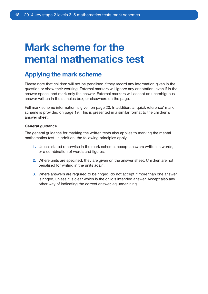# Mark scheme for the mental mathematics test

## Applying the mark scheme

Please note that children will not be penalised if they record any information given in the question or show their working. External markers will ignore any annotation, even if in the answer space, and mark only the answer. External markers will accept an unambiguous answer written in the stimulus box, or elsewhere on the page.

Full mark scheme information is given on page 20. In addition, a 'quick reference' mark scheme is provided on page 19. This is presented in a similar format to the children's answer sheet.

### General guidance

The general guidance for marking the written tests also applies to marking the mental mathematics test. In addition, the following principles apply.

- 1. Unless stated otherwise in the mark scheme, accept answers written in words, or a combination of words and figures.
- 2. Where units are specified, they are given on the answer sheet. Children are not penalised for writing in the units again.
- 3. Where answers are required to be ringed, do not accept if more than one answer is ringed, unless it is clear which is the child's intended answer. Accept also any other way of indicating the correct answer, eg underlining.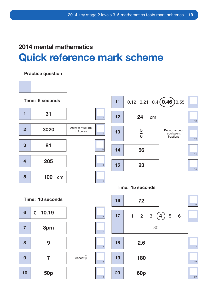# 2014 mental mathematics Quick reference mark scheme

### Practice question

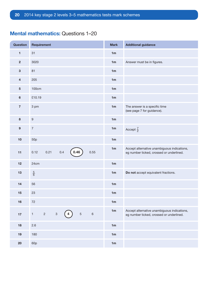### Mental mathematics: Questions 1–20

| <b>Question</b>         | Requirement                                                          | <b>Mark</b>    | <b>Additional guidance</b>                                                              |
|-------------------------|----------------------------------------------------------------------|----------------|-----------------------------------------------------------------------------------------|
| $\mathbf{1}$            | 31                                                                   | 1 <sub>m</sub> |                                                                                         |
| $\overline{\mathbf{2}}$ | 3020                                                                 | 1m             | Answer must be in figures.                                                              |
| $\mathbf{3}$            | 81                                                                   | 1m             |                                                                                         |
| $\overline{\mathbf{4}}$ | 205                                                                  | 1m             |                                                                                         |
| $\overline{5}$          | 100cm                                                                | 1 <sub>m</sub> |                                                                                         |
| $\bf 6$                 | £10.19                                                               | 1m             |                                                                                         |
| $\overline{\mathbf{7}}$ | 3 pm                                                                 | 1m             | The answer is a specific time<br>(see page 7 for guidance).                             |
| $\bf8$                  | $\boldsymbol{9}$                                                     | 1 <sub>m</sub> |                                                                                         |
| $\boldsymbol{9}$        | $\boldsymbol{7}$                                                     | 1m             | Accept $\frac{7}{2}$                                                                    |
| 10                      | 50 <sub>p</sub>                                                      | 1m             |                                                                                         |
| 11                      | 0.46<br>0.4<br>0.55<br>0.21<br>0.12                                  | 1m             | Accept alternative unambiguous indications,<br>eg number ticked, crossed or underlined. |
| 12                      | 24cm                                                                 | 1m             |                                                                                         |
| 13                      | $\frac{5}{6}$                                                        | 1 <sub>m</sub> | Do not accept equivalent fractions.                                                     |
| 14                      | 56                                                                   | 1m             |                                                                                         |
| 15                      | 23                                                                   | 1 <sub>m</sub> |                                                                                         |
| 16                      | 72                                                                   | 1 <sub>m</sub> |                                                                                         |
| $17$                    | $\sqrt{5}$<br>$\,6\,$<br>$\overline{2}$<br>$\,3$<br>$\mathbf 1$<br>4 | 1m             | Accept alternative unambiguous indications,<br>eg number ticked, crossed or underlined. |
| 18                      | 2.6                                                                  | 1m             |                                                                                         |
| 19                      | 180                                                                  | 1 <sub>m</sub> |                                                                                         |
| 20                      | 60p                                                                  | 1m             |                                                                                         |